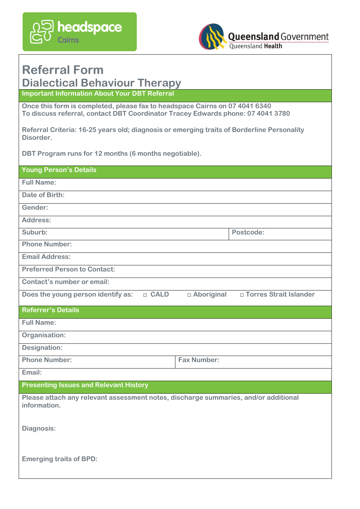



## **Referral Form**

## **Dialectical Behaviour Therapy**

**Important Information About Your DBT Referral**

**Once this form is completed, please fax to headspace Cairns on 07 4041 6340 To discuss referral, contact DBT Coordinator Tracey Edwards phone: 07 4041 3780**

**Referral Criteria: 16-25 years old; diagnosis or emerging traits of Borderline Personality Disorder.**

**DBT Program runs for 12 months (6 months negotiable).**

| <b>Young Person's Details</b>                                                                       |                          |  |
|-----------------------------------------------------------------------------------------------------|--------------------------|--|
| <b>Full Name:</b>                                                                                   |                          |  |
| Date of Birth:                                                                                      |                          |  |
| Gender:                                                                                             |                          |  |
| Address:                                                                                            |                          |  |
| Suburb:                                                                                             | Postcode:                |  |
| <b>Phone Number:</b>                                                                                |                          |  |
| <b>Email Address:</b>                                                                               |                          |  |
| <b>Preferred Person to Contact:</b>                                                                 |                          |  |
| Contact's number or email:                                                                          |                          |  |
| Does the young person identify as:<br>□ CALD<br>□ Aboriginal                                        | □ Torres Strait Islander |  |
| <b>Referrer's Details</b>                                                                           |                          |  |
| <b>Full Name:</b>                                                                                   |                          |  |
| Organisation:                                                                                       |                          |  |
| <b>Designation:</b>                                                                                 |                          |  |
| <b>Phone Number:</b><br><b>Fax Number:</b>                                                          |                          |  |
| Email:                                                                                              |                          |  |
| <b>Presenting Issues and Relevant History</b>                                                       |                          |  |
| Please attach any relevant assessment notes, discharge summaries, and/or additional<br>information. |                          |  |
| Diagnosis:                                                                                          |                          |  |
| <b>Emerging traits of BPD:</b>                                                                      |                          |  |